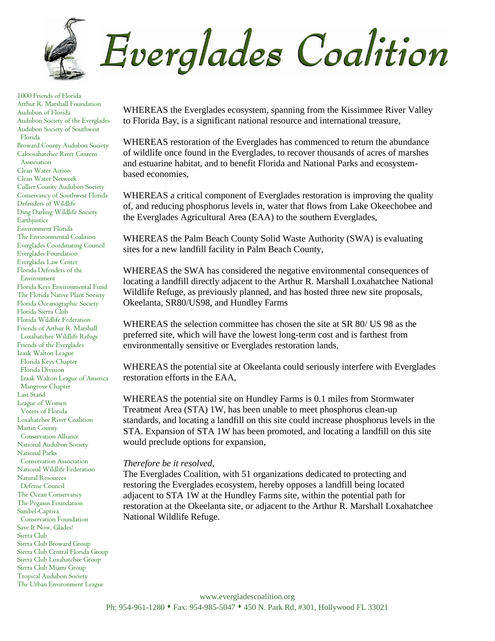

1000 Friends of Florida Arthur R. Marshall Foundation Audubon of Florida Audubon Society of the Everglades Audubon Society of Southwest Florida Broward County Audubon Society Caloosahatchee River Citizens Association Clean Water Action Clean Water Network Collier County Audubon Society Conservancy of Southwest Florida Defenders of Wildlife Ding Darling Wildlife Society **Earthjustice** Environment Florida The Environmental Coalition Everglades Coordinating Council Everglades Foundation Everglades Law Center Florida Defenders of the Environment Florida Keys Environmental Fund The Florida Native Plant Society Florida Oceanographic Society Florida Sierra Club Florida Wildlife Federation Friends of Arthur R. Marshall Loxahatchee Wildlife Refuge Friends of the Everglades Izaak Walton League Florida Keys Chapter Florida Division Izaak Walton League of America Mangrove Chapter Last Stand League of Women Voters of Florida Loxahatchee River Coalition Martin County Conservation Alliance National Audubon Society National Parks Conservation Association National Wildlife Federation Natural Resources Defense Council The Ocean Conservancy The Pegasus Foundation Sanibel-Captiva Conservation Foundation Save It Now, Glades! Sierra Club Sierra Club Broward Group Sierra Club Central Florida Group Sierra Club Loxahatchee Group Sierra Club Miami Group Tropical Audubon Society The Urban Environment League

WHEREAS the Everglades ecosystem, spanning from the Kissimmee River Valley to Florida Bay, is a significant national resource and international treasure,

WHEREAS restoration of the Everglades has commenced to return the abundance of wildlife once found in the Everglades, to recover thousands of acres of marshes and estuarine habitat, and to benefit Florida and National Parks and ecosystembased economies,

WHEREAS a critical component of Everglades restoration is improving the quality of, and reducing phosphorus levels in, water that flows from Lake Okeechobee and the Everglades Agricultural Area (EAA) to the southern Everglades,

WHEREAS the Palm Beach County Solid Waste Authority (SWA) is evaluating sites for a new landfill facility in Palm Beach County,

WHEREAS the SWA has considered the negative environmental consequences of locating a landfill directly adjacent to the Arthur R. Marshall Loxahatchee National Wildlife Refuge, as previously planned, and has hosted three new site proposals, Okeelanta, SR80/US98, and Hundley Farms

WHEREAS the selection committee has chosen the site at SR 80/ US 98 as the preferred site, which will have the lowest long-term cost and is farthest from environmentally sensitive or Everglades restoration lands,

WHEREAS the potential site at Okeelanta could seriously interfere with Everglades restoration efforts in the EAA,

WHEREAS the potential site on Hundley Farms is 0.1 miles from Stormwater Treatment Area (STA) 1W, has been unable to meet phosphorus clean-up standards, and locating a landfill on this site could increase phosphorus levels in the STA. Expansion of STA 1W has been promoted, and locating a landfill on this site would preclude options for expansion,

## *Therefore be it resolved,*

The Everglades Coalition, with 51 organizations dedicated to protecting and restoring the Everglades ecosystem, hereby opposes a landfill being located adjacent to STA 1W at the Hundley Farms site, within the potential path for restoration at the Okeelanta site, or adjacent to the Arthur R. Marshall Loxahatchee National Wildlife Refuge.